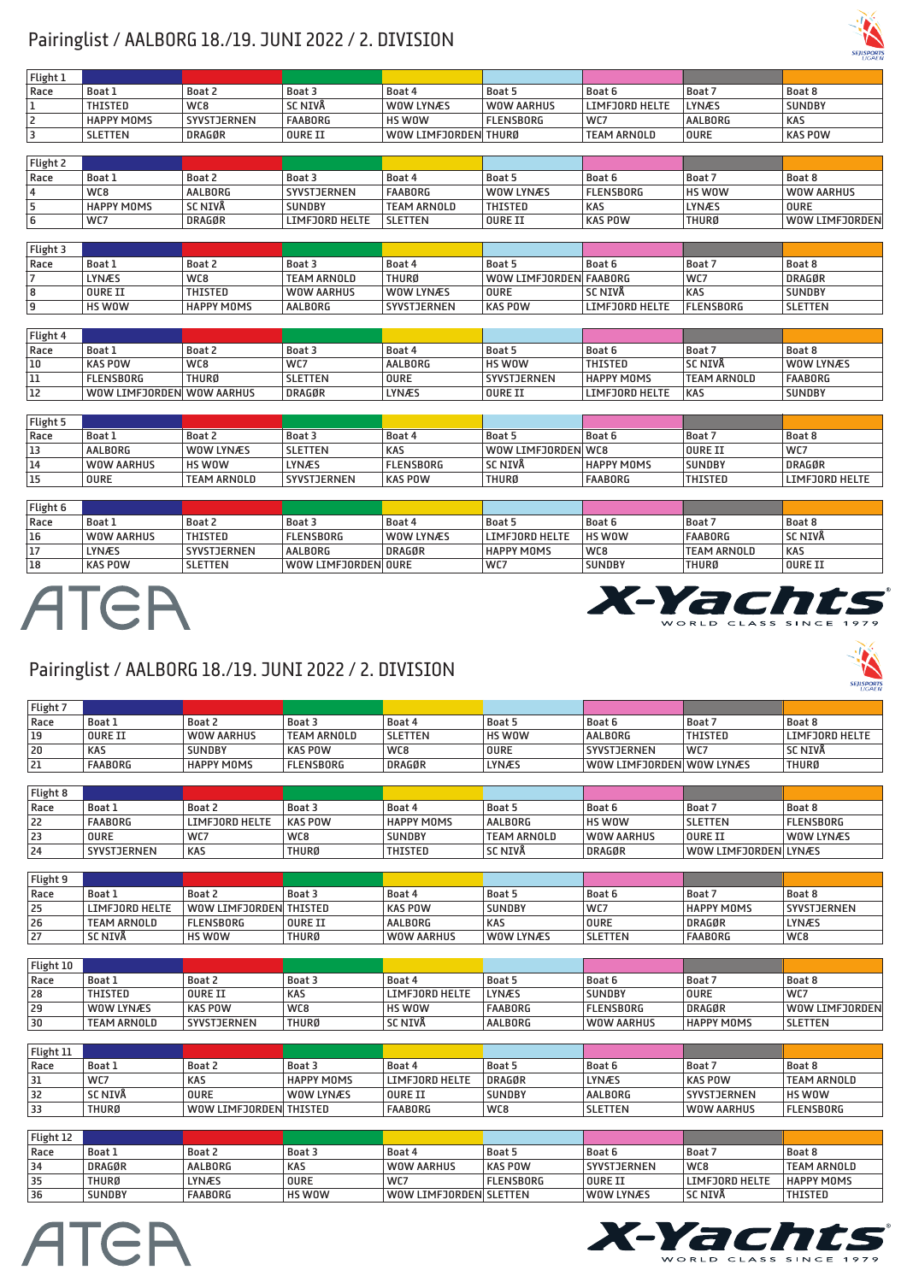### Pairinglist / AALBORG 18./19. JUNI 2022 / 2. DIVISION

| Flight 1       |                   |                    |                   |                      |                        |                       |                  |                |
|----------------|-------------------|--------------------|-------------------|----------------------|------------------------|-----------------------|------------------|----------------|
| Race           | Boat 1            | Boat 2             | Boat 3            | Boat 4               | Boat 5                 | Boat 6                | Boat 7           | Boat 8         |
|                | <b>THISTED</b>    | WC8                | <b>SC NIVA</b>    | <b>WOW LYNÆS</b>     | <b>WOW AARHUS</b>      | <b>LIMFJORD HELTE</b> | <b>LYNÆS</b>     | <b>SUNDBY</b>  |
| $\overline{2}$ | <b>HAPPY MOMS</b> | <b>SYVSTJERNEN</b> | <b>FAABORG</b>    | HS WOW               | <b>FLENSBORG</b>       | WC7                   | <b>AALBORG</b>   | <b>KAS</b>     |
| 3              | <b>SLETTEN</b>    | <b>DRAGØR</b>      | <b>OURE II</b>    | WOW LIMFJORDEN THURØ |                        | <b>TEAM ARNOLD</b>    | <b>OURE</b>      | <b>KAS POW</b> |
|                |                   |                    |                   |                      |                        |                       |                  |                |
| Flight 2       |                   |                    |                   |                      |                        |                       |                  |                |
| Race           | Boat 1            | Boat 2             | Boat 3            | Boat 4               | Boat 5                 | Boat 6                | Boat 7           | Boat 8         |
| 4              | WC8               | AALBORG            | SYVSTJERNEN       | <b>FAABORG</b>       | WOW LYNÆS              | <b>FLENSBORG</b>      | HS WOW           | WOW AARHUS     |
| 5              | <b>HAPPY MOMS</b> | SC NIVA            | <b>SUNDBY</b>     | <b>TEAM ARNOLD</b>   | THISTED                | <b>KAS</b>            | <b>LYNÆS</b>     | <b>OURE</b>    |
| 6              | WC7               | <b>DRAGØR</b>      | LIMFJORD HELTE    | <b>SLETTEN</b>       | OURE II                | <b>KAS POW</b>        | <b>THURØ</b>     | WOW LIMFJORDEN |
|                |                   |                    |                   |                      |                        |                       |                  |                |
| Flight 3       |                   |                    |                   |                      |                        |                       |                  |                |
| Race           | Boat 1            | Boat 2             | Boat 3            | Boat 4               | Boat 5                 | Boat 6                | Boat 7           | Boat 8         |
| $\overline{7}$ | <b>LYNÆS</b>      | WC8                | TEAM ARNOLD       | THURØ                | WOW LIMFJORDEN FAABORG |                       | WC7              | <b>DRAGØR</b>  |
| 8              | OURE II           | <b>THISTED</b>     | <b>WOW AARHUS</b> | WOW LYNÆS            | <b>OURE</b>            | <b>SC NIVA</b>        | <b>KAS</b>       | <b>SUNDBY</b>  |
| 9              | HS WOW            | <b>HAPPY MOMS</b>  | AALBORG           | SYVSTJERNEN          | <b>KAS POW</b>         | <b>LIMFJORD HELTE</b> | <b>FLENSBORG</b> | <b>SLETTEN</b> |

| Flight 4 |                           |              |                |         |                    |                       |                    |               |
|----------|---------------------------|--------------|----------------|---------|--------------------|-----------------------|--------------------|---------------|
| Race     | <b>Boat 1</b>             | Boat 2       | Boat 3         | Boat 4  | ' Boat 5           | Boat 6                | Boat 7             | <b>Boat 8</b> |
| 10       | <b>KAS POW</b>            | WC8          | WC7            | AALBORG | <b>HS WOW</b>      | <b>THISTED</b>        | <b>SC NIVA</b>     | WOW LYNÆS     |
| 11       | <b>FLENSBORG</b>          | <b>THURØ</b> | <b>SLETTEN</b> | OURE    | <b>SYVSTJERNEN</b> | <b>HAPPY MOMS</b>     | <b>TEAM ARNOLD</b> | FAABORG       |
| 12       | WOW LIMFJORDEN WOW AARHUS |              | <b>DRAGØR</b>  | LYNÆS   | OURE II            | <b>LIMFJORD HELTE</b> | KAS                | <b>SUNDBY</b> |

| Flight 5 |               |                    |                |                  |                     |                   |                |                       |
|----------|---------------|--------------------|----------------|------------------|---------------------|-------------------|----------------|-----------------------|
| Race     | <b>Boat</b> 1 | Boat 2             | Boat 3         | <b>Boat 4</b>    | Boat 5              | Boat 6            | Boat,          | <b>Boat 8</b>         |
| 13       | AALBORG       | WOW LYNÆS          | <b>SLETTEN</b> | <b>KAS</b>       | WOW LIMFJORDEN  WC8 |                   | OURE II        | WC7                   |
| 14       | WOW AARHUS    | HS WOW             | LYNÆS          | <b>FLENSBORG</b> | <b>SC NIVA</b>      | <b>HAPPY MOMS</b> | <b>SUNDBY</b>  | <b>DRAGØR</b>         |
| 15       | <b>OURE</b>   | <b>TEAM ARNOLD</b> | SYVSTJERNEN    | <b>KAS POW</b>   | <b>THURØ</b>        | <b>FAABORG</b>    | <b>THISTED</b> | <b>LIMFJORD HELTE</b> |

| Flight 6 |                |                |                     |                  |                   |               |                    |                |
|----------|----------------|----------------|---------------------|------------------|-------------------|---------------|--------------------|----------------|
| Race     | <b>Boat 1</b>  | <b>Boat 2</b>  | Boat 3              | <b>Boat 4</b>    | Boat 5            | Boat 6        | Boat 7             | <b>Boat 8</b>  |
| 16       | WOW AARHUS     | THISTED        | <b>FLENSBORG</b>    | <b>WOW LYNÆS</b> | LIMFJORD HELTE    | HS WOW        | FAABORG            | SC NIVÅ        |
| 17       | LYNÆS          | SYVSTJERNEN    | AALBORG             | <b>DRAGØR</b>    | <b>HAPPY MOMS</b> | WC8           | <b>TEAM ARNOLD</b> | <b>KAS</b>     |
| 18       | <b>KAS POW</b> | <b>SLETTEN</b> | WOW LIMFJORDEN OURE |                  | WC7               | <b>SUNDBY</b> | <b>THURØ</b>       | <b>OURE II</b> |

## ATER



#### Pairinglist / AALBORG 18./19. JUNI 2022 / 2. DIVISION

| Flight 7 |                |                   |                    |                |             |                           |                 |                |
|----------|----------------|-------------------|--------------------|----------------|-------------|---------------------------|-----------------|----------------|
| Race     | <b>Boat 1</b>  | <b>Boat 2</b>     | Boat 3             | <b>Boat 4</b>  | Boat 5      | Boat 6                    | Boat 7          | Boat 8         |
| 19       | OURE II        | WOW AARHUS        | <b>TEAM ARNOLD</b> | <b>SLETTEN</b> | HS WOW      | AALBORG                   | THISTED         | LIMFJORD HELTE |
| 20       | <b>KAS</b>     | <b>SUNDBY</b>     | <b>KAS POW</b>     | WC8            | <b>OURE</b> | SYVSTJERNEN               | WC <sub>7</sub> | <b>SC NIVA</b> |
| 21       | <b>FAABORG</b> | <b>HAPPY MOMS</b> | FLENSBORG          | DRAGØR         | LYNÆS       | WOW LIMFJORDEN  WOW LYNÆS |                 | THURØ          |

| Flight 8 |             |                       |                |                   |                    |               |                      |                  |
|----------|-------------|-----------------------|----------------|-------------------|--------------------|---------------|----------------------|------------------|
| Race     | `Boat⊥      | <b>Boat 2</b>         | Boat 3         | <b>Boat 4</b>     | Boat 5             | Boat 6        | Boat                 | Boat 8           |
| 22       | FAABORG     | <b>LIMFJORD HELTE</b> | <b>KAS POW</b> | <b>HAPPY MOMS</b> | AALBORG            | <b>HS WOW</b> | <b>SLETTEN</b>       | <b>FLENSBORG</b> |
| 23       | <b>OURE</b> | WC7                   | WC8            | <b>SUNDBY</b>     | <b>TEAM ARNOLD</b> | WOW AARHUS    | <b>OURE II</b>       | <b>WOW LYNÆS</b> |
| 24       | SYVSTJERNEN | <b>KAS</b>            | <b>THURØ</b>   | THISTED           | <b>SC NIVA</b>     | DRAGØR        | WOW LIMFJORDEN LYNÆS |                  |

| Flight 9 |                    |                        |                |                |               |                |                   |               |
|----------|--------------------|------------------------|----------------|----------------|---------------|----------------|-------------------|---------------|
| Race     | `Boat⊥             | Boat a                 | Boat 3         | Boat 4         | Boat 5        | <b>Boat 6</b>  | Boat              | <b>Boat 8</b> |
| 25       | LIMFJORD HELTE     | WOW LIMFJORDEN THISTED |                | <b>KAS POW</b> | <b>SUNDBY</b> | WC7            | <b>HAPPY MOMS</b> | SYVSTJERNEN   |
| 26       | <b>TEAM ARNOLD</b> | <b>FLENSBORG</b>       | <b>OURE II</b> | AALBORG        | <b>KAS</b>    | <b>OURE</b>    | <b>DRAGØR</b>     | <b>LYNÆS</b>  |
| 27       | SC NIVÅ            | HS WOW                 | <b>THURØ</b>   | WOW AARHUS     | WOW LYNÆS     | <b>SLETTEN</b> | <b>FAABORG</b>    | WC8           |

| Flight 10 |             |                |              |                |                |                  |                   |                |
|-----------|-------------|----------------|--------------|----------------|----------------|------------------|-------------------|----------------|
| Race      | Boat 1      | <b>Boat 2</b>  | Boat 3       | <b>Boat 4</b>  | Boat 5         | Boat 6           | Boat 7            | <b>Boat 8</b>  |
| 28        | THISTED     | OURE II        | <b>KAS</b>   | LIMFJORD HELTE | LYNÆS          | <b>SUNDBY</b>    | <b>OURE</b>       | WC7            |
| 29        | WOW LYNÆS   | <b>KAS POW</b> | WC8          | HS WOW         | <b>FAABORG</b> | <b>FLENSBORG</b> | DRAGØR            | WOW LIMFJORDEN |
| 30        | TEAM ARNOLD | SYVSTJERNEN    | <b>THURØ</b> | <b>SC NIVA</b> | AALBORG        | WOW AARHUS       | <b>HAPPY MOMS</b> | <b>SLETTEN</b> |

| Flight 11 |                |                        |                   |                |               |                |                    |                    |
|-----------|----------------|------------------------|-------------------|----------------|---------------|----------------|--------------------|--------------------|
| Race      | Boat 1         | <b>Boat 2</b>          | Boat 3            | Boat 4         | <b>Boat 5</b> | Boat 6         | ، Boat ا           | Boat 8             |
| 31        | WC7            | <b>KAS</b>             | <b>HAPPY MOMS</b> | LIMFJORD HELTE | DRAGØR        | <b>LYNÆS</b>   | KAS POW            | <b>TEAM ARNOLD</b> |
| 32        | <b>SC NIVA</b> | <b>OURE</b>            | WOW LYNÆS         | OURE II        | <b>SUNDBY</b> | AALBORG        | <b>SYVSTJERNEN</b> | HS WOW             |
| 33        | THURØ          | WOW LIMFJORDEN THISTED |                   | <b>FAABORG</b> | WC8           | <b>SLETTEN</b> | WOW AARHUS         | <b>FLENSBORG</b>   |

| Flight 12 |               |               |             |                        |                  |                    |                       |                    |
|-----------|---------------|---------------|-------------|------------------------|------------------|--------------------|-----------------------|--------------------|
| Race      | <b>Boat</b> 1 | <b>Boat 2</b> | Boat 3      | <b>Boat 4</b>          | Boat 5           | <b>Boat 6</b>      | Boat 7                | <b>Boat 8</b>      |
| 34        | <b>DRAGØR</b> | AALBORG       | KAS         | WOW AARHUS             | <b>KAS POW</b>   | <b>SYVSTJERNEN</b> | WC8                   | <b>TEAM ARNOLD</b> |
| 35        | THURØ         | <b>LYNÆS</b>  | <b>OURE</b> | WC7                    | <b>FLENSBORG</b> | OURE II            | <b>LIMFJORD HELTE</b> | <b>HAPPY MOMS</b>  |
| 36        | <b>SUNDBY</b> | FAABORG       | HS WOW      | WOW LIMFJORDEN SLETTEN |                  | WOW LYNÆS          | <b>SC NIVA</b>        | <b>THISTED</b>     |